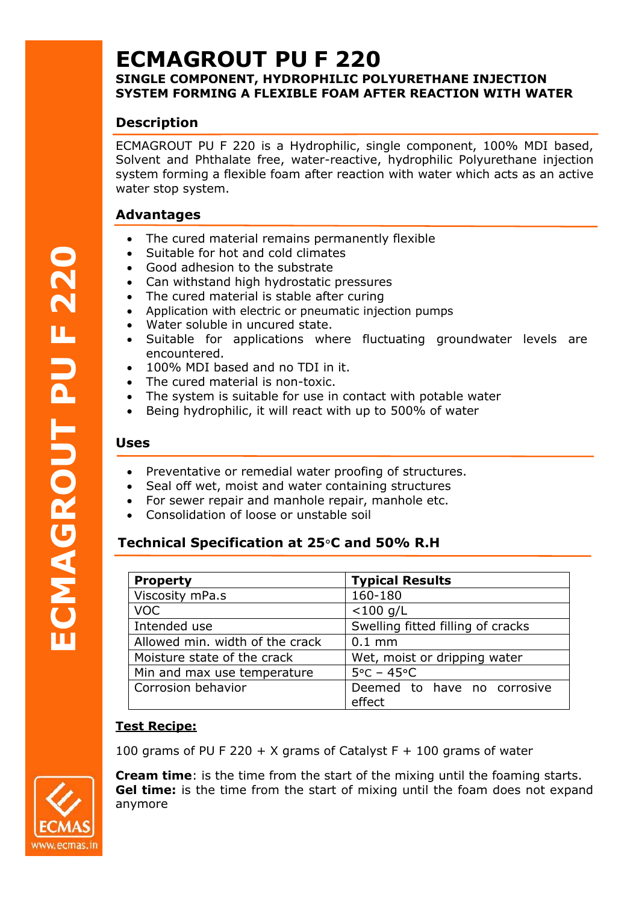# **ECMAGROUT PU F 220**

# **SINGLE COMPONENT, HYDROPHILIC POLYURETHANE INJECTION SYSTEM FORMING A FLEXIBLE FOAM AFTER REACTION WITH WATER**

# **Description**

ECMAGROUT PU F 220 is a Hydrophilic, single component, 100% MDI based, Solvent and Phthalate free, water-reactive, hydrophilic Polyurethane injection system forming a flexible foam after reaction with water which acts as an active water stop system.

# **Advantages**

- The cured material remains permanently flexible
- Suitable for hot and cold climates
- Good adhesion to the substrate
- Can withstand high hydrostatic pressures
- The cured material is stable after curing
- Application with electric or pneumatic injection pumps
- Water soluble in uncured state.
- Suitable for applications where fluctuating groundwater levels are encountered.
- 100% MDI based and no TDI in it.
- The cured material is non-toxic.
- The system is suitable for use in contact with potable water
- Being hydrophilic, it will react with up to 500% of water

#### **Uses**

- Preventative or remedial water proofing of structures.
- Seal off wet, moist and water containing structures
- For sewer repair and manhole repair, manhole etc.
- Consolidation of loose or unstable soil

# **Technical Specification at 25**°**C and 50% R.H**

| <b>Property</b>                 | <b>Typical Results</b>                |  |
|---------------------------------|---------------------------------------|--|
| Viscosity mPa.s                 | 160-180                               |  |
| <b>VOC</b>                      | $<$ 100 g/L                           |  |
| Intended use                    | Swelling fitted filling of cracks     |  |
| Allowed min. width of the crack | $0.1$ mm                              |  |
| Moisture state of the crack     | Wet, moist or dripping water          |  |
| Min and max use temperature     | $5^{\circ}$ C – 45 $^{\circ}$ C       |  |
| Corrosion behavior              | Deemed to have no corrosive<br>effect |  |

# **Test Recipe:**

100 grams of PU F 220 + X grams of Catalyst  $F + 100$  grams of water

**Cream time**: is the time from the start of the mixing until the foaming starts. **Gel time:** is the time from the start of mixing until the foam does not expand anymore



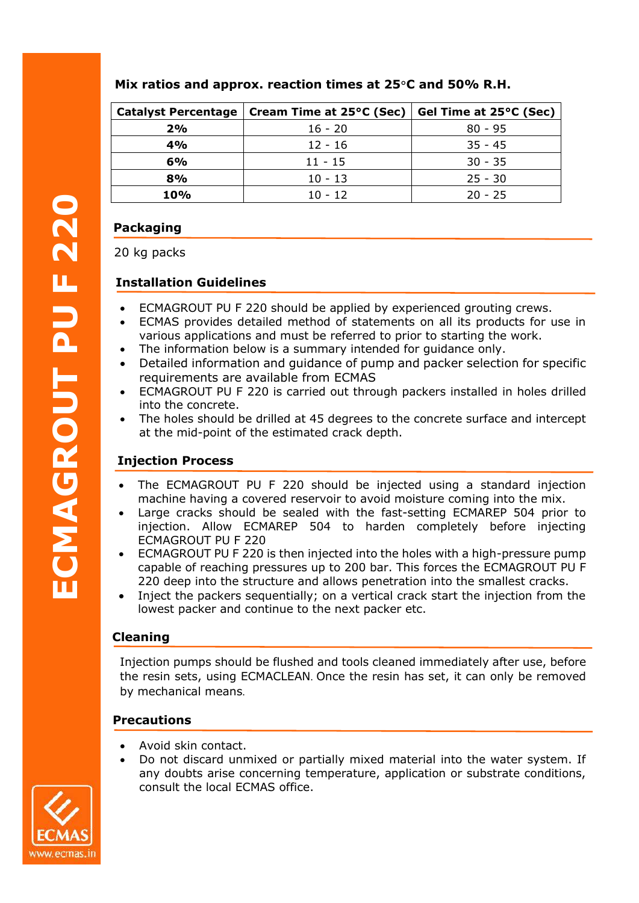## **Mix ratios and approx. reaction times at 25**°**C and 50% R.H.**

| <b>Catalyst Percentage</b> | Cream Time at 25°C (Sec) | Gel Time at 25°C (Sec) |
|----------------------------|--------------------------|------------------------|
| 2%                         | $16 - 20$                | $80 - 95$              |
| 4%                         | $12 - 16$                | $35 - 45$              |
| 6%                         | $11 - 15$                | $30 - 35$              |
| 8%                         | $10 - 13$                | $25 - 30$              |
| <b>10%</b>                 | $10 - 12$                | $20 - 25$              |

# **Packaging**

20 kg packs

## **Installation Guidelines**

- ECMAGROUT PU F 220 should be applied by experienced grouting crews.
- ECMAS provides detailed method of statements on all its products for use in various applications and must be referred to prior to starting the work.
- The information below is a summary intended for quidance only.
- Detailed information and guidance of pump and packer selection for specific requirements are available from ECMAS
- ECMAGROUT PU F 220 is carried out through packers installed in holes drilled into the concrete.
- The holes should be drilled at 45 degrees to the concrete surface and intercept at the mid-point of the estimated crack depth.

# **Injection Process**

- The ECMAGROUT PU F 220 should be injected using a standard injection machine having a covered reservoir to avoid moisture coming into the mix.
- Large cracks should be sealed with the fast-setting ECMAREP 504 prior to injection. Allow ECMAREP 504 to harden completely before injecting ECMAGROUT PU F 220 **Pa**<br> **20**<br> **Im**<br> **11**<br> **11**<br> **11**<br> **11**<br> **11** 
	- ECMAGROUT PU F 220 is then injected into the holes with a high-pressure pump capable of reaching pressures up to 200 bar. This forces the ECMAGROUT PU F 220 deep into the structure and allows penetration into the smallest cracks.
	- Inject the packers sequentially; on a vertical crack start the injection from the lowest packer and continue to the next packer etc.

#### **Cleaning**

Injection pumps should be flushed and tools cleaned immediately after use, before the resin sets, using ECMACLEAN. Once the resin has set, it can only be removed by mechanical means.

#### **Precautions**

- Avoid skin contact.
- Do not discard unmixed or partially mixed material into the water system. If any doubts arise concerning temperature, application or substrate conditions, consult the local ECMAS office.